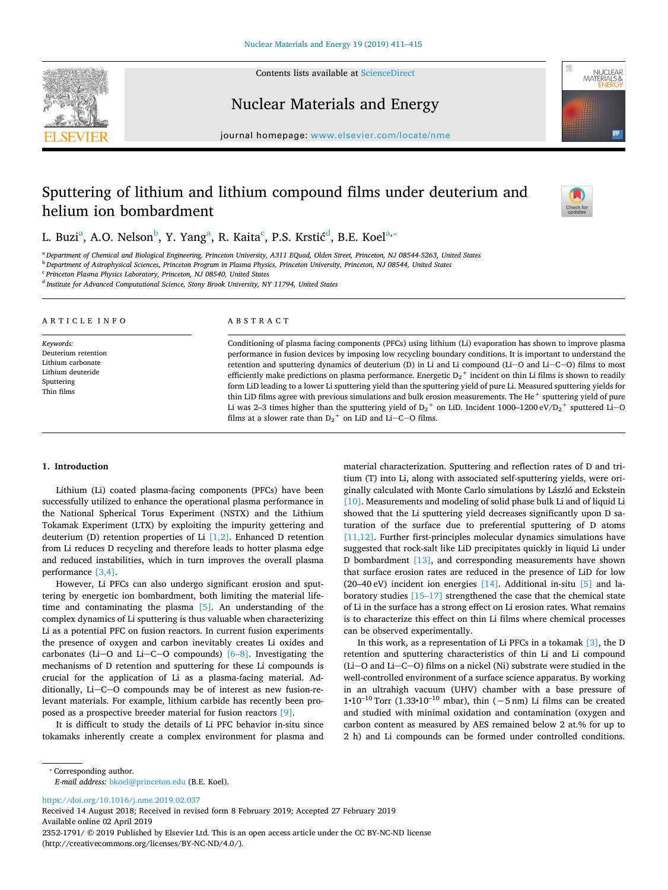



Nuclear Materials and Energy



# Sputtering of lithium and lithium compound films under deuterium and helium ion bombardment



NUCLEAR<br>MATERIALS 8

L. Buzi $^{\rm a}$  $^{\rm a}$  $^{\rm a}$ , A.O. Nelson $^{\rm b}$  $^{\rm b}$  $^{\rm b}$ , Y. Yang $^{\rm a}$ , R. Kaita $^{\rm c}$ , P.S. Krstić $^{\rm d}$  $^{\rm d}$  $^{\rm d}$ , B.E. Koel $^{\rm a,*}$ 

<span id="page-0-0"></span><sup>a</sup> *Department of Chemical and Biological Engineering, Princeton University, A311 EQuad, Olden Street, Princeton, NJ 08544-5263, United States*

<span id="page-0-1"></span><sup>b</sup> *Department of Astrophysical Sciences, Princeton Program in Plasma Physics, Princeton University, Princeton, NJ 08544, United States*

<span id="page-0-2"></span><sup>c</sup> *Princeton Plasma Physics Laboratory, Princeton, NJ 08540, United States*

<span id="page-0-3"></span><sup>d</sup> *Institute for Advanced Computational Science, Stony Brook University, NY 11794, United States*

| ARTICLE INFO                                                                                           | ABSTRACT                                                                                                                                                                                                                                                                                                                                                                                                                                                                                                                                                                                                                                                                                                                                                                                                                                                                                                                                |
|--------------------------------------------------------------------------------------------------------|-----------------------------------------------------------------------------------------------------------------------------------------------------------------------------------------------------------------------------------------------------------------------------------------------------------------------------------------------------------------------------------------------------------------------------------------------------------------------------------------------------------------------------------------------------------------------------------------------------------------------------------------------------------------------------------------------------------------------------------------------------------------------------------------------------------------------------------------------------------------------------------------------------------------------------------------|
| Keywords:<br>Deuterium retention<br>Lithium carbonate<br>Lithium deuteride<br>Sputtering<br>Thin films | Conditioning of plasma facing components (PFCs) using lithium (Li) evaporation has shown to improve plasma<br>performance in fusion devices by imposing low recycling boundary conditions. It is important to understand the<br>retention and sputtering dynamics of deuterium (D) in Li and Li compound $(Li-O)$ and $Li-C-O$ ) films to most<br>efficiently make predictions on plasma performance. Energetic $D_2$ <sup>+</sup> incident on thin Li films is shown to readily<br>form LiD leading to a lower Li sputtering yield than the sputtering yield of pure Li. Measured sputtering yields for<br>thin LiD films agree with previous simulations and bulk erosion measurements. The He <sup>+</sup> sputtering yield of pure<br>Li was 2–3 times higher than the sputtering yield of $D_2^+$ on LiD. Incident 1000–1200 eV/ $D_2^+$ sputtered Li–O<br>films at a slower rate than $D_2$ <sup>+</sup> on LiD and Li–C–O films. |

### **1. Introduction**

Lithium (Li) coated plasma-facing components (PFCs) have been successfully utilized to enhance the operational plasma performance in the National Spherical Torus Experiment (NSTX) and the Lithium Tokamak Experiment (LTX) by exploiting the impurity gettering and deuterium (D) retention properties of Li  $[1,2]$ . Enhanced D retention from Li reduces D recycling and therefore leads to hotter plasma edge and reduced instabilities, which in turn improves the overall plasma performance [\[3,4\].](#page-3-1)

However, Li PFCs can also undergo significant erosion and sputtering by energetic ion bombardment, both limiting the material lifetime and contaminating the plasma [\[5\].](#page-3-2) An understanding of the complex dynamics of Li sputtering is thus valuable when characterizing Li as a potential PFC on fusion reactors. In current fusion experiments the presence of oxygen and carbon inevitably creates Li oxides and carbonates (Li- $O$  and Li- $C-O$  compounds) [6-8]. Investigating the mechanisms of D retention and sputtering for these Li compounds is crucial for the application of Li as a plasma-facing material. Additionally,  $Li-C-O$  compounds may be of interest as new fusion-relevant materials. For example, lithium carbide has recently been proposed as a prospective breeder material for fusion reactors [\[9\].](#page-3-4)

It is difficult to study the details of Li PFC behavior in-situ since tokamaks inherently create a complex environment for plasma and

material characterization. Sputtering and reflection rates of D and tritium (T) into Li, along with associated self-sputtering yields, were originally calculated with Monte Carlo simulations by László and Eckstein [\[10\]](#page-3-5). Measurements and modeling of solid phase bulk Li and of liquid Li showed that the Li sputtering yield decreases significantly upon D saturation of the surface due to preferential sputtering of D atoms [\[11,12\].](#page-3-6) Further first-principles molecular dynamics simulations have suggested that rock-salt like LiD precipitates quickly in liquid Li under D bombardment [\[13\]](#page-3-7), and corresponding measurements have shown that surface erosion rates are reduced in the presence of LiD for low (20–40 eV) incident ion energies  $[14]$ . Additional in-situ  $[5]$  and laboratory studies [\[15–17\]](#page-3-9) strengthened the case that the chemical state of Li in the surface has a strong effect on Li erosion rates. What remains is to characterize this effect on thin Li films where chemical processes can be observed experimentally.

In this work, as a representation of Li PFCs in a tokamak  $[3]$ , the D retention and sputtering characteristics of thin Li and Li compound (Li- $O$  and Li- $C-O$ ) films on a nickel (Ni) substrate were studied in the well-controlled environment of a surface science apparatus. By working in an ultrahigh vacuum (UHV) chamber with a base pressure of 1•10–10 Torr (1.33•10–10 mbar), thin (∼5 nm) Li films can be created and studied with minimal oxidation and contamination (oxygen and carbon content as measured by AES remained below 2 at.% for up to 2 h) and Li compounds can be formed under controlled conditions.

<span id="page-0-4"></span>⁎ Corresponding author.

*E-mail address:* [bkoel@princeton.edu](mailto:bkoel@princeton.edu) (B.E. Koel).

<https://doi.org/10.1016/j.nme.2019.02.037>

Received 14 August 2018; Received in revised form 8 February 2019; Accepted 27 February 2019 Available online 02 April 2019

2352-1791/ © 2019 Published by Elsevier Ltd. This is an open access article under the CC BY-NC-ND license (http://creativecommons.org/licenses/BY-NC-ND/4.0/).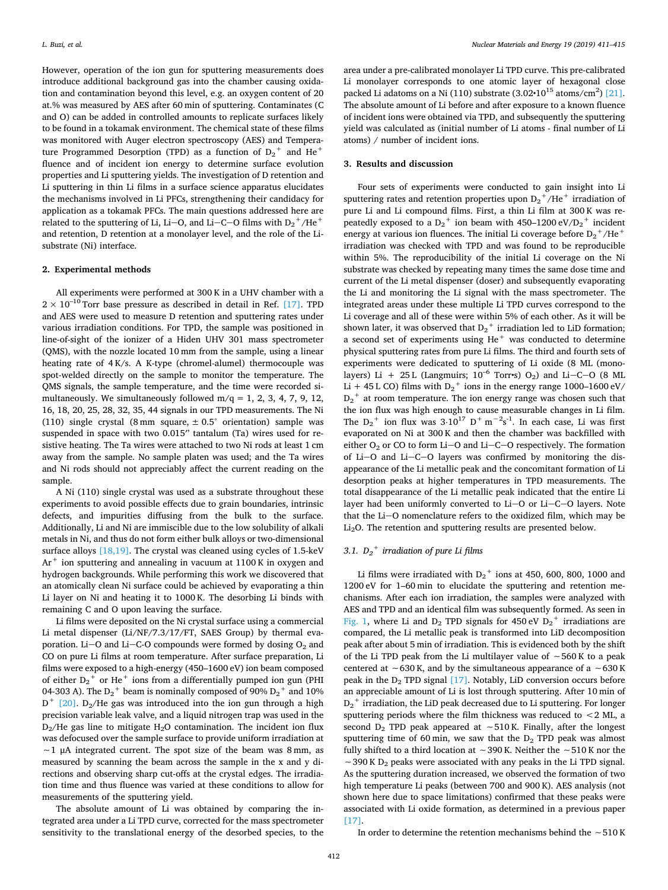However, operation of the ion gun for sputtering measurements does introduce additional background gas into the chamber causing oxidation and contamination beyond this level, e.g. an oxygen content of 20 at.% was measured by AES after 60 min of sputtering. Contaminates (C and O) can be added in controlled amounts to replicate surfaces likely to be found in a tokamak environment. The chemical state of these films was monitored with Auger electron spectroscopy (AES) and Temperature Programmed Desorption (TPD) as a function of  $D_2^+$  and  $He^+$ fluence and of incident ion energy to determine surface evolution properties and Li sputtering yields. The investigation of D retention and Li sputtering in thin Li films in a surface science apparatus elucidates the mechanisms involved in Li PFCs, strengthening their candidacy for application as a tokamak PFCs. The main questions addressed here are related to the sputtering of Li, Li–O, and Li–C–O films with  $D_2^+$ /He<sup>+</sup> and retention, D retention at a monolayer level, and the role of the Lisubstrate (Ni) interface.

### **2. Experimental methods**

All experiments were performed at 300 K in a UHV chamber with a  $2 \times 10^{-10}$  Torr base pressure as described in detail in Ref. [\[17\]](#page-4-0). TPD and AES were used to measure D retention and sputtering rates under various irradiation conditions. For TPD, the sample was positioned in line-of-sight of the ionizer of a Hiden UHV 301 mass spectrometer (QMS), with the nozzle located 10 mm from the sample, using a linear heating rate of 4 K/s. A K-type (chromel-alumel) thermocouple was spot-welded directly on the sample to monitor the temperature. The QMS signals, the sample temperature, and the time were recorded simultaneously. We simultaneously followed  $m/q = 1, 2, 3, 4, 7, 9, 12,$ 16, 18, 20, 25, 28, 32, 35, 44 signals in our TPD measurements. The Ni (110) single crystal (8 mm square,  $\pm$  0.5° orientation) sample was suspended in space with two 0.015" tantalum (Ta) wires used for resistive heating. The Ta wires were attached to two Ni rods at least 1 cm away from the sample. No sample platen was used; and the Ta wires and Ni rods should not appreciably affect the current reading on the sample.

A Ni (110) single crystal was used as a substrate throughout these experiments to avoid possible effects due to grain boundaries, intrinsic defects, and impurities diffusing from the bulk to the surface. Additionally, Li and Ni are immiscible due to the low solubility of alkali metals in Ni, and thus do not form either bulk alloys or two-dimensional surface alloys [\[18,19\]](#page-4-1). The crystal was cleaned using cycles of 1.5-keV  $Ar<sup>+</sup>$  ion sputtering and annealing in vacuum at 1100 K in oxygen and hydrogen backgrounds. While performing this work we discovered that an atomically clean Ni surface could be achieved by evaporating a thin Li layer on Ni and heating it to 1000 K. The desorbing Li binds with remaining C and O upon leaving the surface.

Li films were deposited on the Ni crystal surface using a commercial Li metal dispenser (Li/NF/7.3/17/FT, SAES Group) by thermal evaporation. Li-O and Li-C-O compounds were formed by dosing  $O_2$  and CO on pure Li films at room temperature. After surface preparation, Li films were exposed to a high-energy (450–1600 eV) ion beam composed of either  $D_2^+$  or He $^+$  ions from a differentially pumped ion gun (PHI 04-303 A). The  $D_2^+$  beam is nominally composed of 90%  $D_2^+$  and 10%  $D^+$  [\[20\]](#page-4-2). D<sub>2</sub>/He gas was introduced into the ion gun through a high precision variable leak valve, and a liquid nitrogen trap was used in the  $D_2$ /He gas line to mitigate H<sub>2</sub>O contamination. The incident ion flux was defocused over the sample surface to provide uniform irradiation at ∼1 μA integrated current. The spot size of the beam was 8 mm, as measured by scanning the beam across the sample in the x and y directions and observing sharp cut-offs at the crystal edges. The irradiation time and thus fluence was varied at these conditions to allow for measurements of the sputtering yield.

The absolute amount of Li was obtained by comparing the integrated area under a Li TPD curve, corrected for the mass spectrometer sensitivity to the translational energy of the desorbed species, to the

area under a pre-calibrated monolayer Li TPD curve. This pre-calibrated Li monolayer corresponds to one atomic layer of hexagonal close packed Li adatoms on a Ni (110) substrate  $(3.02 \cdot 10^{15} \text{ atoms/cm}^2)$  [\[21\]](#page-4-3). The absolute amount of Li before and after exposure to a known fluence of incident ions were obtained via TPD, and subsequently the sputtering yield was calculated as (initial number of Li atoms - final number of Li atoms) / number of incident ions.

### **3. Results and discussion**

Four sets of experiments were conducted to gain insight into Li sputtering rates and retention properties upon  $D_2^+$ /He<sup>+</sup> irradiation of pure Li and Li compound films. First, a thin Li film at 300 K was repeatedly exposed to a  ${\rm D_2}^+$  ion beam with 450–1200 eV/D<sub>2</sub><sup>+</sup> incident energy at various ion fluences. The initial Li coverage before  $\mathrm{D_2}^+/\mathrm{He}^+$ irradiation was checked with TPD and was found to be reproducible within 5%. The reproducibility of the initial Li coverage on the Ni substrate was checked by repeating many times the same dose time and current of the Li metal dispenser (doser) and subsequently evaporating the Li and monitoring the Li signal with the mass spectrometer. The integrated areas under these multiple Li TPD curves correspond to the Li coverage and all of these were within 5% of each other. As it will be shown later, it was observed that  $D_2$ <sup>+</sup> irradiation led to LiD formation; a second set of experiments using He<sup>+</sup> was conducted to determine physical sputtering rates from pure Li films. The third and fourth sets of experiments were dedicated to sputtering of Li oxide (8 ML (monolayers) Li + 25 L (Langmuirs;  $10^{-6}$  Torr•s) O<sub>2</sub>) and Li-C-O (8 ML Li + 45 L CO) films with  $D_2^+$  ions in the energy range 1000–1600 eV/  $D_2$ <sup>+</sup> at room temperature. The ion energy range was chosen such that the ion flux was high enough to cause measurable changes in Li film. The  $D_2$ <sup>+</sup> ion flux was  $3 \cdot 10^{17}$  D<sup>+</sup> m<sup>-2</sup>s<sup>-1</sup>. In each case, Li was first evaporated on Ni at 300 K and then the chamber was backfilled with either  $O_2$  or CO to form Li- $O$  and Li- $C-O$  respectively. The formation of Li- $O$  and Li- $C-O$  layers was confirmed by monitoring the disappearance of the Li metallic peak and the concomitant formation of Li desorption peaks at higher temperatures in TPD measurements. The total disappearance of the Li metallic peak indicated that the entire Li layer had been uniformly converted to Li-O or Li-C-O layers. Note that the Li-O nomenclature refers to the oxidized film, which may be Li2O. The retention and sputtering results are presented below.

## *3.1. D2 <sup>+</sup> irradiation of pure Li films*

Li films were irradiated with  $D_2^+$  ions at 450, 600, 800, 1000 and 1200 eV for 1–60 min to elucidate the sputtering and retention mechanisms. After each ion irradiation, the samples were analyzed with AES and TPD and an identical film was subsequently formed. As seen in [Fig. 1,](#page-2-0) where Li and  $D_2$  TPD signals for 450 eV  $D_2$ <sup>+</sup> irradiations are compared, the Li metallic peak is transformed into LiD decomposition peak after about 5 min of irradiation. This is evidenced both by the shift of the Li TPD peak from the Li multilayer value of ∼560 K to a peak centered at ∼630 K, and by the simultaneous appearance of a ∼630 K peak in the  $D_2$  TPD signal  $[17]$ . Notably, LiD conversion occurs before an appreciable amount of Li is lost through sputtering. After 10 min of  $\mathbf{D_2}^+$  irradiation, the LiD peak decreased due to Li sputtering. For longer sputtering periods where the film thickness was reduced to  $<$  2 ML, a second D<sub>2</sub> TPD peak appeared at ∼510 K. Finally, after the longest sputtering time of 60 min, we saw that the  $D_2$  TPD peak was almost fully shifted to a third location at ∼390 K. Neither the ∼510 K nor the  $~\sim$  390 K D<sub>2</sub> peaks were associated with any peaks in the Li TPD signal. As the sputtering duration increased, we observed the formation of two high temperature Li peaks (between 700 and 900 K). AES analysis (not shown here due to space limitations) confirmed that these peaks were associated with Li oxide formation, as determined in a previous paper [\[17\]](#page-4-0).

In order to determine the retention mechanisms behind the ∼510 K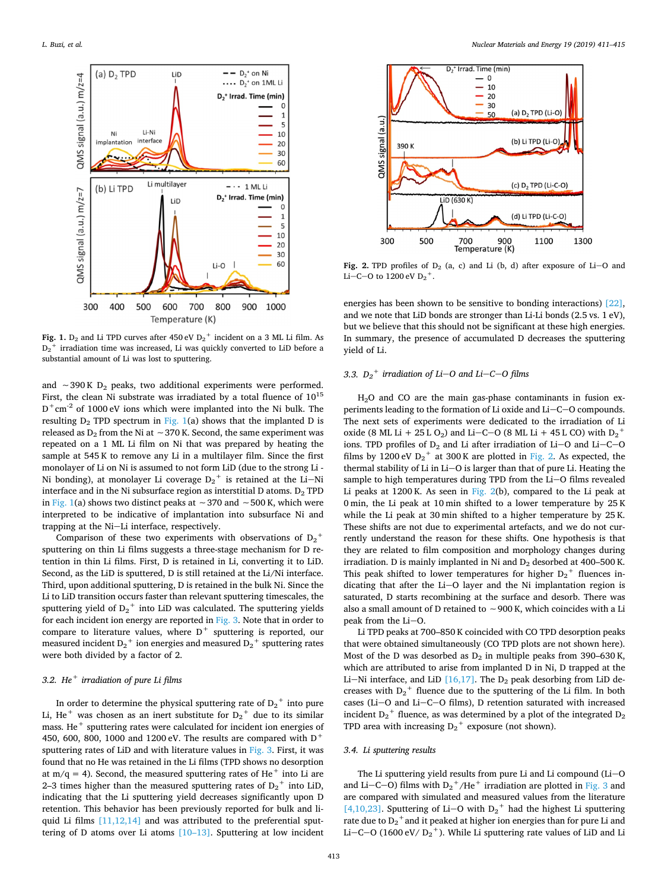<span id="page-2-0"></span>

Fig. 1.  $D_2$  and Li TPD curves after 450 eV  $D_2^+$  incident on a 3 ML Li film. As  $D_2^+$  irradiation time was increased, Li was quickly converted to LiD before a substantial amount of Li was lost to sputtering.

and  $~\sim$ 390 K D<sub>2</sub> peaks, two additional experiments were performed. First, the clean Ni substrate was irradiated by a total fluence of  $10^{15}$  $D^+cm^{-2}$  of 1000 eV ions which were implanted into the Ni bulk. The resulting  $D_2$  TPD spectrum in [Fig. 1](#page-2-0)(a) shows that the implanted D is released as D<sub>2</sub> from the Ni at ∼370 K. Second, the same experiment was repeated on a 1 ML Li film on Ni that was prepared by heating the sample at 545 K to remove any Li in a multilayer film. Since the first monolayer of Li on Ni is assumed to not form LiD (due to the strong Li - Ni bonding), at monolayer Li coverage  ${\rm D_2}^+$  is retained at the Li $-$ Ni interface and in the Ni subsurface region as interstitial D atoms.  $D_2$  TPD in [Fig. 1](#page-2-0)(a) shows two distinct peaks at ∼370 and ∼500 K, which were interpreted to be indicative of implantation into subsurface Ni and trapping at the Ni-Li interface, respectively.

Comparison of these two experiments with observations of  $D_2^+$ sputtering on thin Li films suggests a three-stage mechanism for D retention in thin Li films. First, D is retained in Li, converting it to LiD. Second, as the LiD is sputtered, D is still retained at the Li/Ni interface. Third, upon additional sputtering, D is retained in the bulk Ni. Since the Li to LiD transition occurs faster than relevant sputtering timescales, the sputtering yield of  $D_2^+$  into LiD was calculated. The sputtering yields for each incident ion energy are reported in [Fig. 3](#page-3-10). Note that in order to compare to literature values, where  $D^+$  sputtering is reported, our measured incident  $D_2^+$  ion energies and measured  $D_2^+$  sputtering rates were both divided by a factor of 2.

### *3.2. He<sup>+</sup> irradiation of pure Li films*

In order to determine the physical sputtering rate of  $D_2^+$  into pure Li, He<sup>+</sup> was chosen as an inert substitute for  $D_2$ <sup>+</sup> due to its similar mass. He<sup>+</sup> sputtering rates were calculated for incident ion energies of 450, 600, 800, 1000 and 1200 eV. The results are compared with  $D^+$ sputtering rates of LiD and with literature values in [Fig. 3.](#page-3-10) First, it was found that no He was retained in the Li films (TPD shows no desorption at  $m/q = 4$ ). Second, the measured sputtering rates of He<sup>+</sup> into Li are 2–3 times higher than the measured sputtering rates of  $D_2^+$  into LiD, indicating that the Li sputtering yield decreases significantly upon D retention. This behavior has been previously reported for bulk and liquid Li films  $[11, 12, 14]$  and was attributed to the preferential sputtering of D atoms over Li atoms [\[10–13\].](#page-3-5) Sputtering at low incident

<span id="page-2-1"></span>

Fig. 2. TPD profiles of  $D_2$  (a, c) and Li (b, d) after exposure of Li-O and Li–C–O to  $1200 \text{ eV} D_2^+$ .

energies has been shown to be sensitive to bonding interactions) [\[22\]](#page-4-4), and we note that LiD bonds are stronger than Li-Li bonds (2.5 vs. 1 eV), but we believe that this should not be significant at these high energies. In summary, the presence of accumulated D decreases the sputtering yield of Li.

## 3.3.  $D_2$ <sup>+</sup> *irradiation of Li*-*O and Li*-*C*-*O films*

H2O and CO are the main gas-phase contaminants in fusion experiments leading to the formation of Li oxide and  $Li-C-O$  compounds. The next sets of experiments were dedicated to the irradiation of Li oxide (8 ML Li + 25 L O<sub>2</sub>) and Li–C–O (8 ML Li + 45 L CO) with D<sub>2</sub><sup>+</sup> ions. TPD profiles of  $D_2$  and Li after irradiation of Li-O and Li-C-O films by 1200 eV  $D_2$ <sup>+</sup> at 300 K are plotted in [Fig. 2](#page-2-1). As expected, the thermal stability of Li in Li-O is larger than that of pure Li. Heating the sample to high temperatures during TPD from the Li $-$ O films revealed Li peaks at 1200 K. As seen in [Fig. 2\(](#page-2-1)b), compared to the Li peak at 0 min, the Li peak at 10 min shifted to a lower temperature by 25 K while the Li peak at 30 min shifted to a higher temperature by 25 K. These shifts are not due to experimental artefacts, and we do not currently understand the reason for these shifts. One hypothesis is that they are related to film composition and morphology changes during irradiation. D is mainly implanted in Ni and  $D_2$  desorbed at 400–500 K. This peak shifted to lower temperatures for higher  $D_2$ <sup>+</sup> fluences indicating that after the  $Li-O$  layer and the Ni implantation region is saturated, D starts recombining at the surface and desorb. There was also a small amount of D retained to ∼900 K, which coincides with a Li peak from the  $Li-O$ .

Li TPD peaks at 700–850 K coincided with CO TPD desorption peaks that were obtained simultaneously (CO TPD plots are not shown here). Most of the D was desorbed as  $D_2$  in multiple peaks from 390–630 K, which are attributed to arise from implanted D in Ni, D trapped at the Li-Ni interface, and LiD  $[16,17]$ . The D<sub>2</sub> peak desorbing from LiD decreases with  $D_2$ <sup>+</sup> fluence due to the sputtering of the Li film. In both cases ( $Li-O$  and  $Li-C-O$  films), D retention saturated with increased incident  $D_2$ <sup>+</sup> fluence, as was determined by a plot of the integrated  $D_2$ TPD area with increasing  $D_2$ <sup>+</sup> exposure (not shown).

### *3.4. Li sputtering results*

The Li sputtering yield results from pure Li and Li compound  $(Li-O)$ and Li–C–O) films with  $D_2^+$ /He<sup>+</sup> irradiation are plotted in [Fig. 3](#page-3-10) and are compared with simulated and measured values from the literature [\[4,10,23\]](#page-3-11). Sputtering of Li-O with  $D_2$ <sup>+</sup> had the highest Li sputtering rate due to  ${\rm D_2}^+$  and it peaked at higher ion energies than for pure Li and Li–C–O (1600 eV/  $D_2$ <sup>+</sup>). While Li sputtering rate values of LiD and Li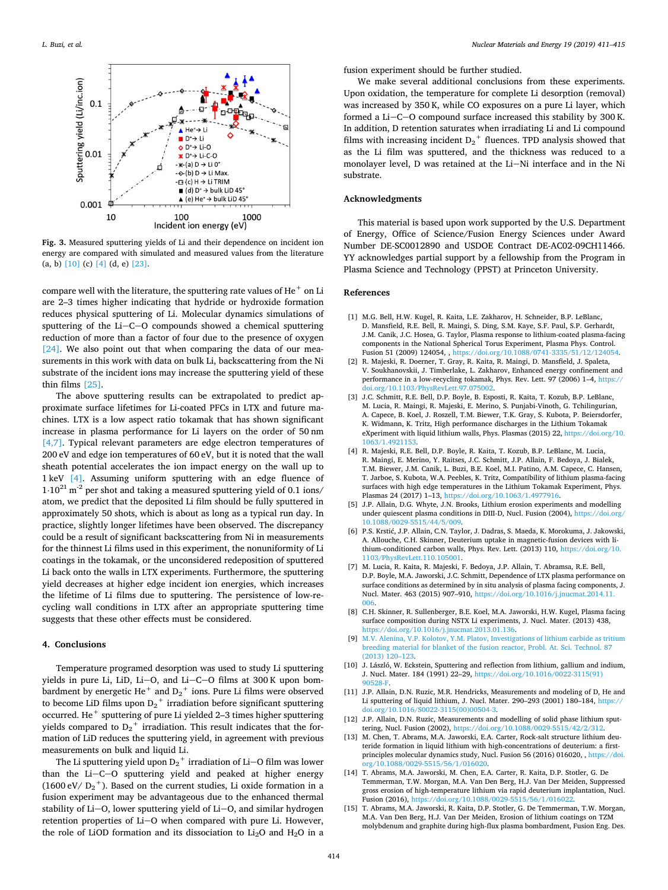<span id="page-3-10"></span>

**Fig. 3.** Measured sputtering yields of Li and their dependence on incident ion energy are compared with simulated and measured values from the literature (a, b) [\[10\]](#page-3-5) (c) [\[4\]](#page-3-11) (d, e) [\[23\]](#page-4-8).

compare well with the literature, the sputtering rate values of  $He<sup>+</sup>$  on Li are 2–3 times higher indicating that hydride or hydroxide formation reduces physical sputtering of Li. Molecular dynamics simulations of sputtering of the  $Li-C-O$  compounds showed a chemical sputtering reduction of more than a factor of four due to the presence of oxygen [\[24\]](#page-4-6). We also point out that when comparing the data of our measurements in this work with data on bulk Li, backscattering from the Ni substrate of the incident ions may increase the sputtering yield of these thin films [\[25\]](#page-4-7).

The above sputtering results can be extrapolated to predict approximate surface lifetimes for Li-coated PFCs in LTX and future machines. LTX is a low aspect ratio tokamak that has shown significant increase in plasma performance for Li layers on the order of 50 nm [\[4,7\].](#page-3-11) Typical relevant parameters are edge electron temperatures of 200 eV and edge ion temperatures of 60 eV, but it is noted that the wall sheath potential accelerates the ion impact energy on the wall up to 1 keV [\[4\].](#page-3-11) Assuming uniform sputtering with an edge fluence of  $1·10<sup>21</sup>$  m<sup>-2</sup> per shot and taking a measured sputtering yield of 0.1 ions/ atom, we predict that the deposited Li film should be fully sputtered in approximately 50 shots, which is about as long as a typical run day. In practice, slightly longer lifetimes have been observed. The discrepancy could be a result of significant backscattering from Ni in measurements for the thinnest Li films used in this experiment, the nonuniformity of Li coatings in the tokamak, or the unconsidered redeposition of sputtered Li back onto the walls in LTX experiments. Furthermore, the sputtering yield decreases at higher edge incident ion energies, which increases the lifetime of Li films due to sputtering. The persistence of low-recycling wall conditions in LTX after an appropriate sputtering time suggests that these other effects must be considered.

#### **4. Conclusions**

Temperature programed desorption was used to study Li sputtering yields in pure Li, LiD, Li-O, and Li-C-O films at 300 K upon bombardment by energetic He $^+$  and  $\text{D}_2{}^+$  ions. Pure Li films were observed to become LiD films upon  $D_2^+$  irradiation before significant sputtering occurred. He<sup>+</sup> sputtering of pure Li yielded 2–3 times higher sputtering yields compared to  $D_2^+$  irradiation. This result indicates that the formation of LiD reduces the sputtering yield, in agreement with previous measurements on bulk and liquid Li.

The Li sputtering yield upon  ${\rm D_2}^+$  irradiation of Li $-$ O film was lower than the  $Li-C-O$  sputtering yield and peaked at higher energy (1600 eV/  $D_2$ <sup>+</sup>). Based on the current studies, Li oxide formation in a fusion experiment may be advantageous due to the enhanced thermal stability of Li-O, lower sputtering yield of Li-O, and similar hydrogen retention properties of Li-O when compared with pure Li. However, the role of LiOD formation and its dissociation to  $Li<sub>2</sub>O$  and  $H<sub>2</sub>O$  in a

fusion experiment should be further studied.

We make several additional conclusions from these experiments. Upon oxidation, the temperature for complete Li desorption (removal) was increased by 350 K, while CO exposures on a pure Li layer, which formed a Li $-C-O$  compound surface increased this stability by 300 K. In addition, D retention saturates when irradiating Li and Li compound films with increasing incident  $D_2$ <sup>+</sup> fluences. TPD analysis showed that as the Li film was sputtered, and the thickness was reduced to a monolayer level, D was retained at the Li-Ni interface and in the Ni substrate.

### **Acknowledgments**

This material is based upon work supported by the U.S. Department of Energy, Office of Science/Fusion Energy Sciences under Award Number DE-SC0012890 and USDOE Contract DE-AC02-09CH11466. YY acknowledges partial support by a fellowship from the Program in Plasma Science and Technology (PPST) at Princeton University.

#### **References**

- <span id="page-3-0"></span>[1] M.G. Bell, H.W. Kugel, R. Kaita, L.E. Zakharov, H. Schneider, B.P. LeBlanc, D. Mansfield, R.E. Bell, R. Maingi, S. Ding, S.M. Kaye, S.F. Paul, S.P. Gerhardt, J.M. Canik, J.C. Hosea, G. Taylor, Plasma response to lithium-coated plasma-facing components in the National Spherical Torus Experiment, Plasma Phys. Control. Fusion 51 (2009) 124054, , [https://doi.org/10.1088/0741-3335/51/12/124054.](https://doi.org/10.1088/0741-3335/51/12/124054)
- [2] R. Majeski, R. Doerner, T. Gray, R. Kaita, R. Maingi, D. Mansfield, J. Spaleta, V. Soukhanovskii, J. Timberlake, L. Zakharov, Enhanced energy confinement and performance in a low-recycling tokamak, Phys. Rev. Lett. 97 (2006) 1-4, https: [doi.org/10.1103/PhysRevLett.97.075002.](https://doi.org/10.1103/PhysRevLett.97.075002)
- <span id="page-3-1"></span>[3] J.C. Schmitt, R.E. Bell, D.P. Boyle, B. Esposti, R. Kaita, T. Kozub, B.P. LeBlanc, M. Lucia, R. Maingi, R. Majeski, E. Merino, S. Punjabi-Vinoth, G. Tchilingurian, A. Capece, B. Koel, J. Roszell, T.M. Biewer, T.K. Gray, S. Kubota, P. Beiersdorfer, K. Widmann, K. Tritz, High performance discharges in the Lithium Tokamak eXperiment with liquid lithium walls, Phys. Plasmas (2015) 22, [https://doi.org/10.](https://doi.org/10.1063/1.4921153) [1063/1.4921153.](https://doi.org/10.1063/1.4921153)
- <span id="page-3-11"></span>[4] R. Majeski, R.E. Bell, D.P. Boyle, R. Kaita, T. Kozub, B.P. LeBlanc, M. Lucia, R. Maingi, E. Merino, Y. Raitses, J.C. Schmitt, J.P. Allain, F. Bedoya, J. Bialek, T.M. Biewer, J.M. Canik, L. Buzi, B.E. Koel, M.I. Patino, A.M. Capece, C. Hansen, T. Jarboe, S. Kubota, W.A. Peebles, K. Tritz, Compatibility of lithium plasma-facing surfaces with high edge temperatures in the Lithium Tokamak Experiment, Phys. Plasmas 24 (2017) 1–13, [https://doi.org/10.1063/1.4977916.](https://doi.org/10.1063/1.4977916)
- <span id="page-3-2"></span>[5] J.P. Allain, D.G. Whyte, J.N. Brooks, Lithium erosion experiments and modelling under quiescent plasma conditions in DIII-D, Nucl. Fusion (2004), [https://doi.org/](https://doi.org/10.1088/0029-5515/44/5/009) [10.1088/0029-5515/44/5/009.](https://doi.org/10.1088/0029-5515/44/5/009)
- <span id="page-3-3"></span>[6] P.S. Krstić, J.P. Allain, C.N. Taylor, J. Dadras, S. Maeda, K. Morokuma, J. Jakowski, A. Allouche, C.H. Skinner, Deuterium uptake in magnetic-fusion devices with lithium-conditioned carbon walls, Phys. Rev. Lett. (2013) 110, [https://doi.org/10.](https://doi.org/10.1103/PhysRevLett.110.105001) [1103/PhysRevLett.110.105001.](https://doi.org/10.1103/PhysRevLett.110.105001)
- [7] M. Lucia, R. Kaita, R. Majeski, F. Bedoya, J.P. Allain, T. Abramsa, R.E. Bell, D.P. Boyle, M.A. Jaworski, J.C. Schmitt, Dependence of LTX plasma performance on surface conditions as determined by in situ analysis of plasma facing components, J. Nucl. Mater. 463 (2015) 907–910, [https://doi.org/10.1016/j.jnucmat.2014.11.](https://doi.org/10.1016/j.jnucmat.2014.11.006) [006.](https://doi.org/10.1016/j.jnucmat.2014.11.006)
- [8] C.H. Skinner, R. Sullenberger, B.E. Koel, M.A. Jaworski, H.W. Kugel, Plasma facing surface composition during NSTX Li experiments, J. Nucl. Mater. (2013) 438, [https://doi.org/10.1016/j.jnucmat.2013.01.136.](https://doi.org/10.1016/j.jnucmat.2013.01.136)
- <span id="page-3-4"></span>[9] [M.V. Alenina, V.P. Kolotov, Y.M. Platov, Investigations of lithium carbide as tritium](http://refhub.elsevier.com/S2352-1791(18)30247-3/sbref0009) [breeding material for blanket of the fusion reactor, Probl. At. Sci. Technol. 87](http://refhub.elsevier.com/S2352-1791(18)30247-3/sbref0009) [\(2013\) 120–123.](http://refhub.elsevier.com/S2352-1791(18)30247-3/sbref0009)
- <span id="page-3-5"></span>[10] J. László, W. Eckstein, Sputtering and reflection from lithium, gallium and indium, J. Nucl. Mater. 184 (1991) 22–29, [https://doi.org/10.1016/0022-3115\(91\)](https://doi.org/10.1016/0022-3115(91)90528-F) [90528-F.](https://doi.org/10.1016/0022-3115(91)90528-F)
- <span id="page-3-6"></span>[11] J.P. Allain, D.N. Ruzic, M.R. Hendricks, Measurements and modeling of D, He and Li sputtering of liquid lithium, J. Nucl. Mater. 290–293 (2001) 180–184, [https://](https://doi.org/10.1016/S0022-3115(00)00504-3) [doi.org/10.1016/S0022-3115\(00\)00504-3.](https://doi.org/10.1016/S0022-3115(00)00504-3)
- [12] J.P. Allain, D.N. Ruzic, Measurements and modelling of solid phase lithium sputtering, Nucl. Fusion (2002), [https://doi.org/10.1088/0029-5515/42/2/312.](https://doi.org/10.1088/0029-5515/42/2/312)
- <span id="page-3-7"></span>[13] M. Chen, T. Abrams, M.A. Jaworski, E.A. Carter, Rock-salt structure lithium deuteride formation in liquid lithium with high-concentrations of deuterium: a firstprinciples molecular dynamics study, Nucl. Fusion 56 (2016) 016020, , [https://doi.](https://doi.org/10.1088/0029-5515/56/1/016020) [org/10.1088/0029-5515/56/1/016020.](https://doi.org/10.1088/0029-5515/56/1/016020)
- <span id="page-3-8"></span>[14] T. Abrams, M.A. Jaworski, M. Chen, E.A. Carter, R. Kaita, D.P. Stotler, G. De Temmerman, T.W. Morgan, M.A. Van Den Berg, H.J. Van Der Meiden, Suppressed gross erosion of high-temperature lithium via rapid deuterium implantation, Nucl. Fusion (2016), [https://doi.org/10.1088/0029-5515/56/1/016022.](https://doi.org/10.1088/0029-5515/56/1/016022)
- <span id="page-3-9"></span>[15] T. Abrams, M.A. Jaworski, R. Kaita, D.P. Stotler, G. De Temmerman, T.W. Morgan, M.A. Van Den Berg, H.J. Van Der Meiden, Erosion of lithium coatings on TZM molybdenum and graphite during high-flux plasma bombardment, Fusion Eng. Des.